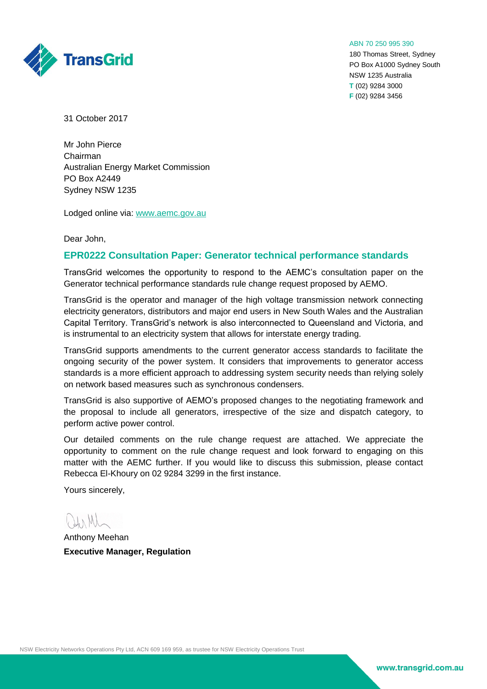

ABN 70 250 995 390

180 Thomas Street, Sydney PO Box A1000 Sydney South NSW 1235 Australia **T** (02) 9284 3000 **F** (02) 9284 3456

31 October 2017

Mr John Pierce Chairman Australian Energy Market Commission PO Box A2449 Sydney NSW 1235

Lodged online via: [www.aemc.gov.au](http://www.aemc.gov.au/)

Dear John,

## **EPR0222 Consultation Paper: Generator technical performance standards**

TransGrid welcomes the opportunity to respond to the AEMC's consultation paper on the Generator technical performance standards rule change request proposed by AEMO.

TransGrid is the operator and manager of the high voltage transmission network connecting electricity generators, distributors and major end users in New South Wales and the Australian Capital Territory. TransGrid's network is also interconnected to Queensland and Victoria, and is instrumental to an electricity system that allows for interstate energy trading.

TransGrid supports amendments to the current generator access standards to facilitate the ongoing security of the power system. It considers that improvements to generator access standards is a more efficient approach to addressing system security needs than relying solely on network based measures such as synchronous condensers.

TransGrid is also supportive of AEMO's proposed changes to the negotiating framework and the proposal to include all generators, irrespective of the size and dispatch category, to perform active power control.

Our detailed comments on the rule change request are attached. We appreciate the opportunity to comment on the rule change request and look forward to engaging on this matter with the AEMC further. If you would like to discuss this submission, please contact Rebecca El-Khoury on 02 9284 3299 in the first instance.

Yours sincerely,

 $L_{\lambda}$ 

Anthony Meehan **Executive Manager, Regulation**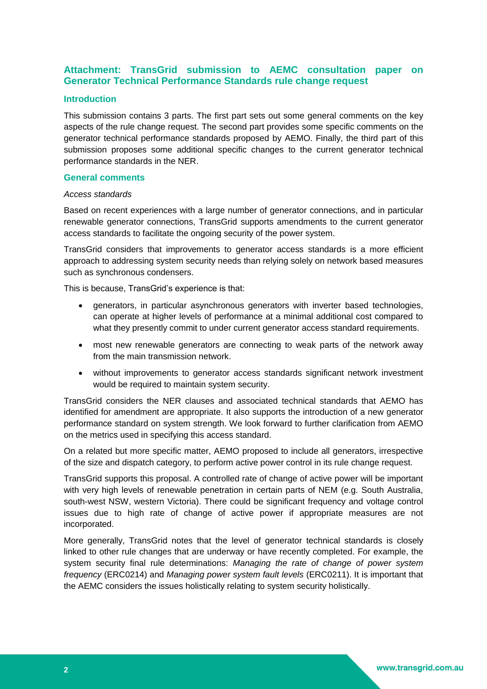# **Attachment: TransGrid submission to AEMC consultation paper on Generator Technical Performance Standards rule change request**

## **Introduction**

This submission contains 3 parts. The first part sets out some general comments on the key aspects of the rule change request. The second part provides some specific comments on the generator technical performance standards proposed by AEMO. Finally, the third part of this submission proposes some additional specific changes to the current generator technical performance standards in the NER.

## **General comments**

## *Access standards*

Based on recent experiences with a large number of generator connections, and in particular renewable generator connections, TransGrid supports amendments to the current generator access standards to facilitate the ongoing security of the power system.

TransGrid considers that improvements to generator access standards is a more efficient approach to addressing system security needs than relying solely on network based measures such as synchronous condensers.

This is because, TransGrid's experience is that:

- generators, in particular asynchronous generators with inverter based technologies, can operate at higher levels of performance at a minimal additional cost compared to what they presently commit to under current generator access standard requirements.
- most new renewable generators are connecting to weak parts of the network away from the main transmission network.
- without improvements to generator access standards significant network investment would be required to maintain system security.

TransGrid considers the NER clauses and associated technical standards that AEMO has identified for amendment are appropriate. It also supports the introduction of a new generator performance standard on system strength. We look forward to further clarification from AEMO on the metrics used in specifying this access standard.

On a related but more specific matter, AEMO proposed to include all generators, irrespective of the size and dispatch category, to perform active power control in its rule change request.

TransGrid supports this proposal. A controlled rate of change of active power will be important with very high levels of renewable penetration in certain parts of NEM (e.g. South Australia, south-west NSW, western Victoria). There could be significant frequency and voltage control issues due to high rate of change of active power if appropriate measures are not incorporated.

More generally, TransGrid notes that the level of generator technical standards is closely linked to other rule changes that are underway or have recently completed. For example, the system security final rule determinations: *Managing the rate of change of power system frequency* (ERC0214) and *Managing power system fault levels* (ERC0211). It is important that the AEMC considers the issues holistically relating to system security holistically.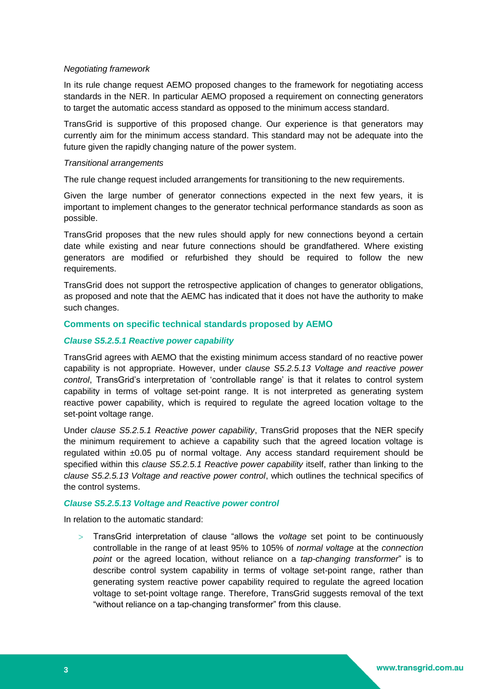## *Negotiating framework*

In its rule change request AEMO proposed changes to the framework for negotiating access standards in the NER. In particular AEMO proposed a requirement on connecting generators to target the automatic access standard as opposed to the minimum access standard.

TransGrid is supportive of this proposed change. Our experience is that generators may currently aim for the minimum access standard. This standard may not be adequate into the future given the rapidly changing nature of the power system.

## *Transitional arrangements*

The rule change request included arrangements for transitioning to the new requirements.

Given the large number of generator connections expected in the next few years, it is important to implement changes to the generator technical performance standards as soon as possible.

TransGrid proposes that the new rules should apply for new connections beyond a certain date while existing and near future connections should be grandfathered. Where existing generators are modified or refurbished they should be required to follow the new requirements.

TransGrid does not support the retrospective application of changes to generator obligations, as proposed and note that the AEMC has indicated that it does not have the authority to make such changes.

## **Comments on specific technical standards proposed by AEMO**

## *Clause S5.2.5.1 Reactive power capability*

TransGrid agrees with AEMO that the existing minimum access standard of no reactive power capability is not appropriate. However, under c*lause S5.2.5.13 Voltage and reactive power control*, TransGrid's interpretation of 'controllable range' is that it relates to control system capability in terms of voltage set-point range. It is not interpreted as generating system reactive power capability, which is required to regulate the agreed location voltage to the set-point voltage range.

Under c*lause S5.2.5.1 Reactive power capability*, TransGrid proposes that the NER specify the minimum requirement to achieve a capability such that the agreed location voltage is regulated within ±0.05 pu of normal voltage. Any access standard requirement should be specified within this *clause S5.2.5.1 Reactive power capability* itself, rather than linking to the c*lause S5.2.5.13 Voltage and reactive power control*, which outlines the technical specifics of the control systems.

## *Clause S5.2.5.13 Voltage and Reactive power control*

In relation to the automatic standard:

 TransGrid interpretation of clause "allows the *voltage* set point to be continuously controllable in the range of at least 95% to 105% of *normal voltage* at the *connection point* or the agreed location, without reliance on a *tap-changing transformer*" is to describe control system capability in terms of voltage set-point range, rather than generating system reactive power capability required to regulate the agreed location voltage to set-point voltage range. Therefore, TransGrid suggests removal of the text "without reliance on a tap-changing transformer" from this clause.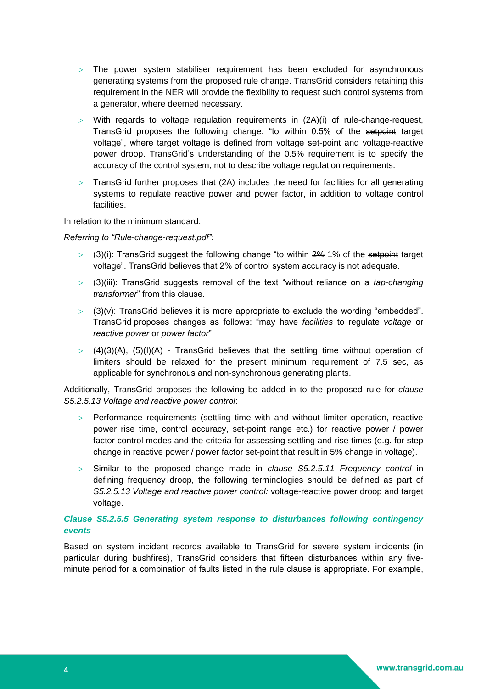- $>$  The power system stabiliser requirement has been excluded for asynchronous generating systems from the proposed rule change. TransGrid considers retaining this requirement in the NER will provide the flexibility to request such control systems from a generator, where deemed necessary.
- $>$  With regards to voltage regulation requirements in  $(2A)(i)$  of rule-change-request, TransGrid proposes the following change: "to within 0.5% of the setpoint target voltage", where target voltage is defined from voltage set-point and voltage-reactive power droop. TransGrid's understanding of the 0.5% requirement is to specify the accuracy of the control system, not to describe voltage regulation requirements.
- $>$  TransGrid further proposes that (2A) includes the need for facilities for all generating systems to regulate reactive power and power factor, in addition to voltage control **facilities**

In relation to the minimum standard:

*Referring to "Rule-change-request.pdf":*

- $>$  (3)(i): TransGrid suggest the following change "to within  $2\%$  1% of the setpoint target voltage". TransGrid believes that 2% of control system accuracy is not adequate.
- (3)(iii): TransGrid suggests removal of the text "without reliance on a *tap-changing transformer*" from this clause.
- $>$  (3)(v): TransGrid believes it is more appropriate to exclude the wording "embedded". TransGrid proposes changes as follows: "may have *facilities* to regulate *voltage* or *reactive power* or *power factor*"
- $>$  (4)(3)(A), (5)(I)(A) TransGrid believes that the settling time without operation of limiters should be relaxed for the present minimum requirement of 7.5 sec, as applicable for synchronous and non-synchronous generating plants.

Additionally, TransGrid proposes the following be added in to the proposed rule for *clause S5.2.5.13 Voltage and reactive power control*:

- Performance requirements (settling time with and without limiter operation, reactive power rise time, control accuracy, set-point range etc.) for reactive power / power factor control modes and the criteria for assessing settling and rise times (e.g. for step change in reactive power / power factor set-point that result in 5% change in voltage).
- Similar to the proposed change made in *clause S5.2.5.11 Frequency control* in defining frequency droop, the following terminologies should be defined as part of *S5.2.5.13 Voltage and reactive power control:* voltage-reactive power droop and target voltage.

## *Clause S5.2.5.5 Generating system response to disturbances following contingency events*

Based on system incident records available to TransGrid for severe system incidents (in particular during bushfires), TransGrid considers that fifteen disturbances within any fiveminute period for a combination of faults listed in the rule clause is appropriate. For example,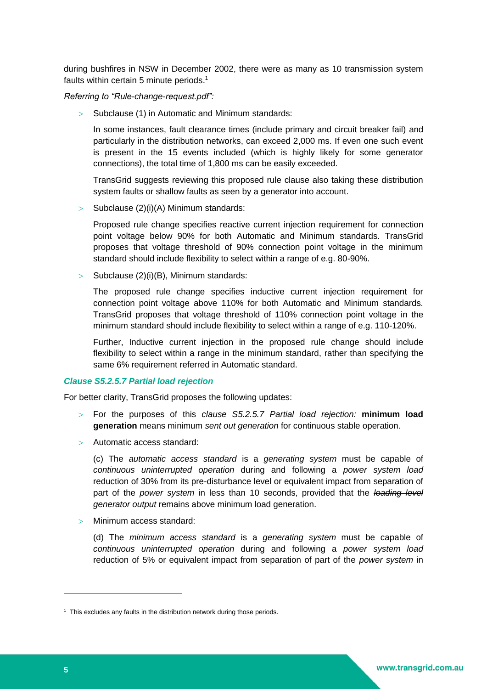during bushfires in NSW in December 2002, there were as many as 10 transmission system faults within certain 5 minute periods. 1

*Referring to "Rule-change-request.pdf":*

 $>$  Subclause (1) in Automatic and Minimum standards:

In some instances, fault clearance times (include primary and circuit breaker fail) and particularly in the distribution networks, can exceed 2,000 ms. If even one such event is present in the 15 events included (which is highly likely for some generator connections), the total time of 1,800 ms can be easily exceeded.

TransGrid suggests reviewing this proposed rule clause also taking these distribution system faults or shallow faults as seen by a generator into account.

 $>$  Subclause (2)(i)(A) Minimum standards:

Proposed rule change specifies reactive current injection requirement for connection point voltage below 90% for both Automatic and Minimum standards. TransGrid proposes that voltage threshold of 90% connection point voltage in the minimum standard should include flexibility to select within a range of e.g. 80-90%.

 $>$  Subclause (2)(i)(B), Minimum standards:

The proposed rule change specifies inductive current injection requirement for connection point voltage above 110% for both Automatic and Minimum standards. TransGrid proposes that voltage threshold of 110% connection point voltage in the minimum standard should include flexibility to select within a range of e.g. 110-120%.

Further, Inductive current injection in the proposed rule change should include flexibility to select within a range in the minimum standard, rather than specifying the same 6% requirement referred in Automatic standard.

## *Clause S5.2.5.7 Partial load rejection*

For better clarity, TransGrid proposes the following updates:

- For the purposes of this *clause S5.2.5.7 Partial load rejection:* **minimum load generation** means minimum *sent out generation* for continuous stable operation.
- Automatic access standard:

(c) The *automatic access standard* is a *generating system* must be capable of *continuous uninterrupted operation* during and following a *power system load*  reduction of 30% from its pre-disturbance level or equivalent impact from separation of part of the *power system* in less than 10 seconds, provided that the *loading level generator output* remains above minimum load generation.

> Minimum access standard:

(d) The *minimum access standard* is a *generating system* must be capable of *continuous uninterrupted operation* during and following a *power system load*  reduction of 5% or equivalent impact from separation of part of the *power system* in

-

<sup>&</sup>lt;sup>1</sup> This excludes any faults in the distribution network during those periods.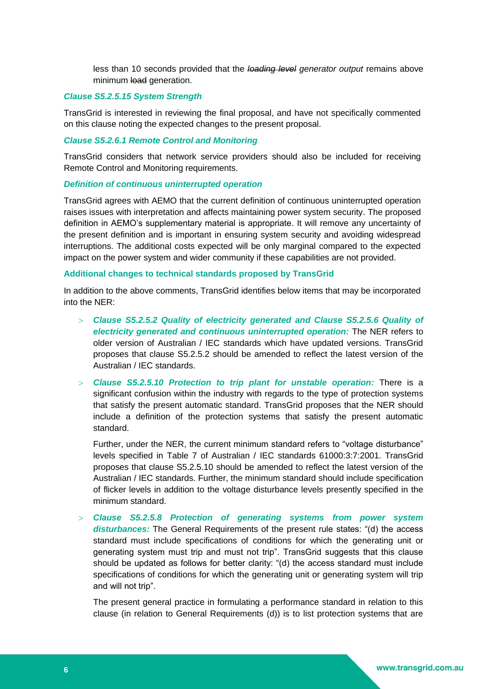less than 10 seconds provided that the *loading level generator output* remains above minimum load generation.

#### *Clause S5.2.5.15 System Strength*

TransGrid is interested in reviewing the final proposal, and have not specifically commented on this clause noting the expected changes to the present proposal.

## *Clause S5.2.6.1 Remote Control and Monitoring*

TransGrid considers that network service providers should also be included for receiving Remote Control and Monitoring requirements.

## *Definition of continuous uninterrupted operation*

TransGrid agrees with AEMO that the current definition of continuous uninterrupted operation raises issues with interpretation and affects maintaining power system security. The proposed definition in AEMO's supplementary material is appropriate. It will remove any uncertainty of the present definition and is important in ensuring system security and avoiding widespread interruptions. The additional costs expected will be only marginal compared to the expected impact on the power system and wider community if these capabilities are not provided.

### **Additional changes to technical standards proposed by TransGrid**

In addition to the above comments, TransGrid identifies below items that may be incorporated into the NER:

- *Clause S5.2.5.2 Quality of electricity generated and Clause S5.2.5.6 Quality of electricity generated and continuous uninterrupted operation:* The NER refers to older version of Australian / IEC standards which have updated versions. TransGrid proposes that clause S5.2.5.2 should be amended to reflect the latest version of the Australian / IEC standards.
- *Clause S5.2.5.10 Protection to trip plant for unstable operation:* There is a significant confusion within the industry with regards to the type of protection systems that satisfy the present automatic standard. TransGrid proposes that the NER should include a definition of the protection systems that satisfy the present automatic standard.

Further, under the NER, the current minimum standard refers to "voltage disturbance" levels specified in Table 7 of Australian / IEC standards 61000:3:7:2001. TransGrid proposes that clause S5.2.5.10 should be amended to reflect the latest version of the Australian / IEC standards. Further, the minimum standard should include specification of flicker levels in addition to the voltage disturbance levels presently specified in the minimum standard.

 *Clause S5.2.5.8 Protection of generating systems from power system disturbances:* The General Requirements of the present rule states: "(d) the access standard must include specifications of conditions for which the generating unit or generating system must trip and must not trip". TransGrid suggests that this clause should be updated as follows for better clarity: "(d) the access standard must include specifications of conditions for which the generating unit or generating system will trip and will not trip".

The present general practice in formulating a performance standard in relation to this clause (in relation to General Requirements (d)) is to list protection systems that are